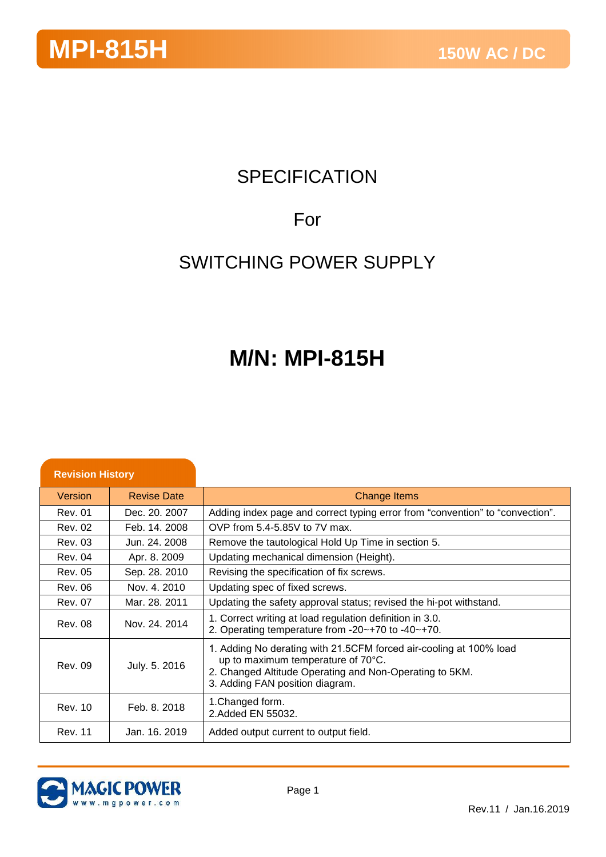## **SPECIFICATION**

## For

## SWITCHING POWER SUPPLY

## **M/N: MPI-815H**

| <b>Revision History</b> |                    |                                                                                                                                                                                                        |
|-------------------------|--------------------|--------------------------------------------------------------------------------------------------------------------------------------------------------------------------------------------------------|
| Version                 | <b>Revise Date</b> | <b>Change Items</b>                                                                                                                                                                                    |
| <b>Rev. 01</b>          | Dec. 20, 2007      | Adding index page and correct typing error from "convention" to "convection".                                                                                                                          |
| Rev. 02                 | Feb. 14, 2008      | OVP from 5.4-5.85V to 7V max.                                                                                                                                                                          |
| <b>Rev. 03</b>          | Jun. 24. 2008      | Remove the tautological Hold Up Time in section 5.                                                                                                                                                     |
| <b>Rev. 04</b>          | Apr. 8. 2009       | Updating mechanical dimension (Height).                                                                                                                                                                |
| <b>Rev. 05</b>          | Sep. 28. 2010      | Revising the specification of fix screws.                                                                                                                                                              |
| Rev. 06                 | Nov. 4. 2010       | Updating spec of fixed screws.                                                                                                                                                                         |
| Rev. 07                 | Mar. 28, 2011      | Updating the safety approval status; revised the hi-pot withstand.                                                                                                                                     |
| <b>Rev. 08</b>          | Nov. 24, 2014      | 1. Correct writing at load regulation definition in 3.0.<br>2. Operating temperature from -20~+70 to -40~+70.                                                                                          |
| <b>Rev. 09</b>          | July. 5. 2016      | 1. Adding No derating with 21.5CFM forced air-cooling at 100% load<br>up to maximum temperature of 70°C.<br>2. Changed Altitude Operating and Non-Operating to 5KM.<br>3. Adding FAN position diagram. |
| Rev. 10                 | Feb. 8, 2018       | 1. Changed form.<br>2. Added EN 55032.                                                                                                                                                                 |
| <b>Rev. 11</b>          | Jan. 16, 2019      | Added output current to output field.                                                                                                                                                                  |

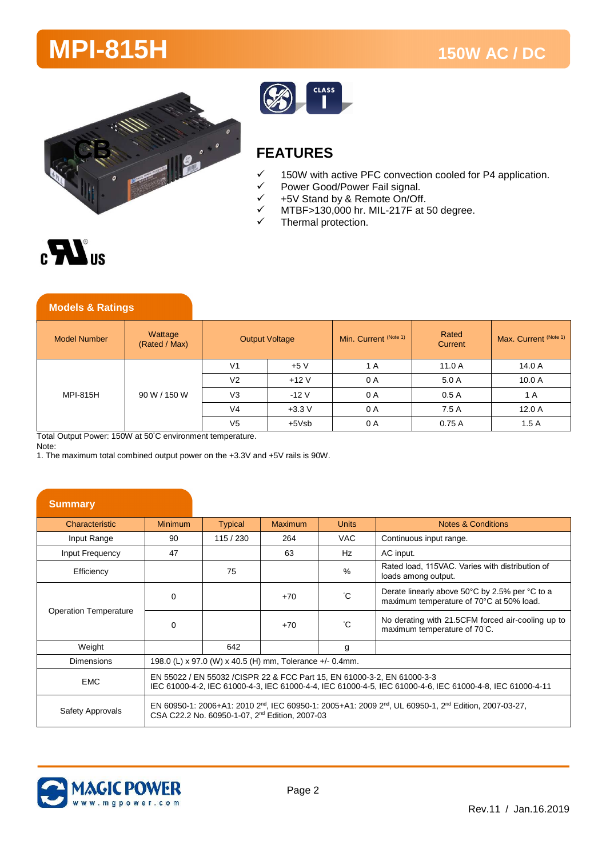



### **FEATURES**

- $\checkmark$  150W with active PFC convection cooled for P4 application.<br> $\checkmark$  Power Good/Power Fail signal.
- $V$  Power Good/Power Fail signal.<br> $V$  +5V Stand by & Remote On/Off
- $\checkmark$  +5V Stand by & Remote On/Off.<br> $\checkmark$  MTRF>130,000 br MII-217F at!
- MTBF>130,000 hr. MIL-217F at 50 degree.
- Thermal protection.



| <b>Models &amp; Ratings</b> |                          |                       |         |                                  |                  |                       |
|-----------------------------|--------------------------|-----------------------|---------|----------------------------------|------------------|-----------------------|
| <b>Model Number</b>         | Wattage<br>(Rated / Max) | <b>Output Voltage</b> |         | Min. Current <sup>(Note 1)</sup> | Rated<br>Current | Max. Current (Note 1) |
| MPI-815H                    | 90 W / 150 W             | V <sub>1</sub>        | $+5V$   | 1 A                              | 11.0 A           | 14.0 A                |
|                             |                          | V <sub>2</sub>        | $+12V$  | 0 A                              | 5.0A             | 10.0A                 |
|                             |                          | V <sub>3</sub>        | $-12V$  | 0 A                              | 0.5A             | 1 A                   |
|                             |                          | V <sub>4</sub>        | $+3.3V$ | 0 A                              | 7.5A             | 12.0A                 |
|                             |                          | V <sub>5</sub>        | +5Vsb   | 0 A                              | 0.75A            | 1.5A                  |

Total Output Power: 150W at 50°C environment temperature.

Note:

1. The maximum total combined output power on the +3.3V and +5V rails is 90W.

| <b>Summary</b>               |                                                                                                                                                                                      |                                                            |         |              |                                                                                                                                           |
|------------------------------|--------------------------------------------------------------------------------------------------------------------------------------------------------------------------------------|------------------------------------------------------------|---------|--------------|-------------------------------------------------------------------------------------------------------------------------------------------|
| Characteristic               | <b>Minimum</b>                                                                                                                                                                       | <b>Typical</b>                                             | Maximum | <b>Units</b> | Notes & Conditions                                                                                                                        |
| Input Range                  | 90                                                                                                                                                                                   | 115 / 230                                                  | 264     | VAC.         | Continuous input range.                                                                                                                   |
| Input Frequency              | 47                                                                                                                                                                                   |                                                            | 63      | Hz           | AC input.                                                                                                                                 |
| Efficiency                   |                                                                                                                                                                                      | 75                                                         |         | $\%$         | Rated load, 115VAC. Varies with distribution of<br>loads among output.                                                                    |
| <b>Operation Temperature</b> | 0                                                                                                                                                                                    |                                                            | $+70$   | °С           | Derate linearly above 50°C by 2.5% per °C to a<br>maximum temperature of 70°C at 50% load.                                                |
|                              | $\Omega$                                                                                                                                                                             |                                                            | $+70$   | $^{\circ}$ C | No derating with 21.5CFM forced air-cooling up to<br>maximum temperature of 70°C.                                                         |
| Weight                       |                                                                                                                                                                                      | 642                                                        |         | g            |                                                                                                                                           |
| Dimensions                   | 198.0 (L) x 97.0 (W) x 40.5 (H) mm, Tolerance +/- 0.4mm.                                                                                                                             |                                                            |         |              |                                                                                                                                           |
| <b>EMC</b>                   | EN 55022 / EN 55032 / CISPR 22 & FCC Part 15, EN 61000-3-2, EN 61000-3-3<br>IEC 61000-4-2, IEC 61000-4-3, IEC 61000-4-4, IEC 61000-4-5, IEC 61000-4-6, IEC 61000-4-8, IEC 61000-4-11 |                                                            |         |              |                                                                                                                                           |
| Safety Approvals             |                                                                                                                                                                                      | CSA C22.2 No. 60950-1-07, 2 <sup>nd</sup> Edition, 2007-03 |         |              | EN 60950-1: 2006+A1: 2010 2 <sup>nd</sup> , IEC 60950-1: 2005+A1: 2009 2 <sup>nd</sup> , UL 60950-1, 2 <sup>nd</sup> Edition, 2007-03-27, |

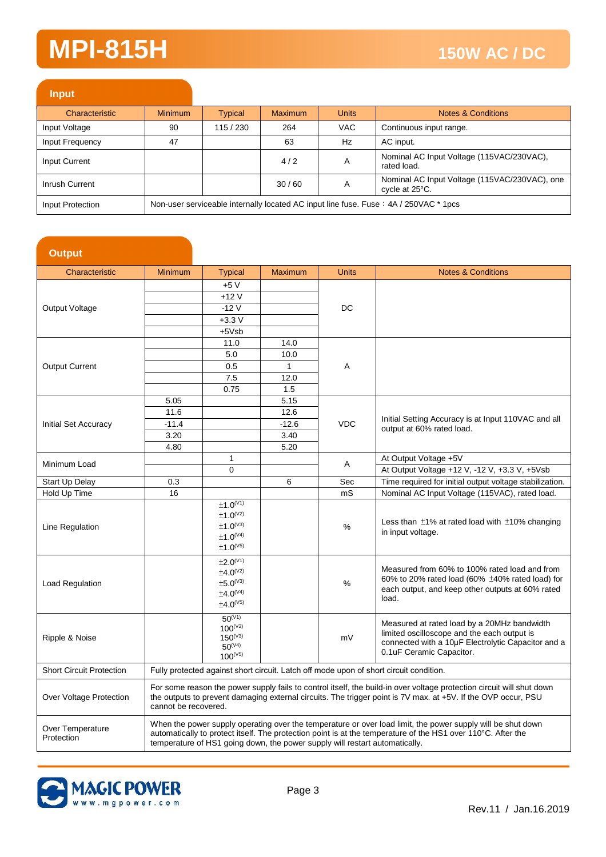| <b>Input</b>     |                |                                                                                      |                |              |                                                                 |  |
|------------------|----------------|--------------------------------------------------------------------------------------|----------------|--------------|-----------------------------------------------------------------|--|
| Characteristic   | <b>Minimum</b> | Typical                                                                              | <b>Maximum</b> | <b>Units</b> | Notes & Conditions                                              |  |
| Input Voltage    | 90             | 115 / 230                                                                            | 264            | <b>VAC</b>   | Continuous input range.                                         |  |
| Input Frequency  | 47             |                                                                                      | 63             | Hz           | AC input.                                                       |  |
| Input Current    |                |                                                                                      | 4/2            | A            | Nominal AC Input Voltage (115VAC/230VAC),<br>rated load.        |  |
| Inrush Current   |                |                                                                                      | 30/60          | A            | Nominal AC Input Voltage (115VAC/230VAC), one<br>cycle at 25°C. |  |
| Input Protection |                | Non-user serviceable internally located AC input line fuse. Fuse: 4A / 250VAC * 1pcs |                |              |                                                                 |  |

| <b>Output</b>                   |                                                                                                                                                                                             |                                   |                |              |                                                                                                                       |
|---------------------------------|---------------------------------------------------------------------------------------------------------------------------------------------------------------------------------------------|-----------------------------------|----------------|--------------|-----------------------------------------------------------------------------------------------------------------------|
| Characteristic                  | <b>Minimum</b>                                                                                                                                                                              | <b>Typical</b>                    | <b>Maximum</b> | <b>Units</b> | <b>Notes &amp; Conditions</b>                                                                                         |
|                                 |                                                                                                                                                                                             | $+5V$                             |                |              |                                                                                                                       |
|                                 |                                                                                                                                                                                             | $+12V$                            |                |              |                                                                                                                       |
| Output Voltage                  |                                                                                                                                                                                             | $-12V$                            |                | DC           |                                                                                                                       |
|                                 |                                                                                                                                                                                             | $+3.3V$                           |                |              |                                                                                                                       |
|                                 |                                                                                                                                                                                             | $+5Vsb$                           |                |              |                                                                                                                       |
|                                 |                                                                                                                                                                                             | 11.0                              | 14.0           |              |                                                                                                                       |
|                                 |                                                                                                                                                                                             | 5.0                               | 10.0           |              |                                                                                                                       |
| <b>Output Current</b>           |                                                                                                                                                                                             | 0.5                               | $\mathbf{1}$   | A            |                                                                                                                       |
|                                 |                                                                                                                                                                                             | 7.5                               | 12.0           |              |                                                                                                                       |
|                                 |                                                                                                                                                                                             | 0.75                              | 1.5            |              |                                                                                                                       |
|                                 | 5.05                                                                                                                                                                                        |                                   | 5.15           |              |                                                                                                                       |
|                                 | 11.6                                                                                                                                                                                        |                                   | 12.6           |              |                                                                                                                       |
| <b>Initial Set Accuracy</b>     | $-11.4$                                                                                                                                                                                     |                                   | $-12.6$        | <b>VDC</b>   | Initial Setting Accuracy is at Input 110VAC and all                                                                   |
|                                 | 3.20                                                                                                                                                                                        |                                   | 3.40           |              | output at 60% rated load.                                                                                             |
|                                 | 4.80                                                                                                                                                                                        |                                   | 5.20           |              |                                                                                                                       |
|                                 |                                                                                                                                                                                             | 1                                 |                |              | At Output Voltage +5V                                                                                                 |
| Minimum Load                    |                                                                                                                                                                                             | $\Omega$                          |                | Α            | At Output Voltage +12 V, -12 V, +3.3 V, +5Vsb                                                                         |
| Start Up Delay                  | 0.3                                                                                                                                                                                         |                                   | 6              | Sec          | Time required for initial output voltage stabilization.                                                               |
| Hold Up Time                    | 16                                                                                                                                                                                          |                                   |                | mS           | Nominal AC Input Voltage (115VAC), rated load.                                                                        |
|                                 |                                                                                                                                                                                             | ±1.0 <sup>(V1)</sup>              |                |              |                                                                                                                       |
|                                 |                                                                                                                                                                                             | $±1.0^{(V2)}$                     |                |              | Less than $\pm$ 1% at rated load with $\pm$ 10% changing                                                              |
| Line Regulation                 |                                                                                                                                                                                             | $\pm 1.0^\text{\tiny{(V3)}}$      |                | %            | in input voltage.                                                                                                     |
|                                 |                                                                                                                                                                                             | $±1.0^{(V4)}$                     |                |              |                                                                                                                       |
|                                 |                                                                                                                                                                                             | $±1.0^{(V5)}$                     |                |              |                                                                                                                       |
|                                 |                                                                                                                                                                                             | $\pm 2.0^{(V1)}$                  |                |              | Measured from 60% to 100% rated load and from                                                                         |
|                                 |                                                                                                                                                                                             | ±4.0 <sup>(V2)</sup>              |                |              | 60% to 20% rated load (60% $\pm$ 40% rated load) for                                                                  |
| Load Regulation                 |                                                                                                                                                                                             | $±5.0^{(V3)}$                     |                | %            | each output, and keep other outputs at 60% rated                                                                      |
|                                 |                                                                                                                                                                                             | $\pm 4.0^{(V4)}$<br>$±4.0^{(V5)}$ |                |              | load.                                                                                                                 |
|                                 |                                                                                                                                                                                             |                                   |                |              |                                                                                                                       |
|                                 |                                                                                                                                                                                             | $50^{(V1)}$<br>$100^{(V2)}$       |                |              | Measured at rated load by a 20MHz bandwidth                                                                           |
| Ripple & Noise                  |                                                                                                                                                                                             | $150^{(V3)}$                      |                | mV           | limited oscilloscope and the each output is                                                                           |
|                                 |                                                                                                                                                                                             | $50^{(V4)}$                       |                |              | connected with a 10µF Electrolytic Capacitor and a                                                                    |
|                                 |                                                                                                                                                                                             | $100^{(V5)}$                      |                |              | 0.1uF Ceramic Capacitor.                                                                                              |
| <b>Short Circuit Protection</b> |                                                                                                                                                                                             |                                   |                |              | Fully protected against short circuit. Latch off mode upon of short circuit condition.                                |
|                                 |                                                                                                                                                                                             |                                   |                |              | For some reason the power supply fails to control itself, the build-in over voltage protection circuit will shut down |
| Over Voltage Protection         |                                                                                                                                                                                             |                                   |                |              | the outputs to prevent damaging external circuits. The trigger point is 7V max. at +5V. If the OVP occur, PSU         |
|                                 | cannot be recovered.                                                                                                                                                                        |                                   |                |              |                                                                                                                       |
| Over Temperature                |                                                                                                                                                                                             |                                   |                |              | When the power supply operating over the temperature or over load limit, the power supply will be shut down           |
| Protection                      | automatically to protect itself. The protection point is at the temperature of the HS1 over 110°C. After the<br>temperature of HS1 going down, the power supply will restart automatically. |                                   |                |              |                                                                                                                       |

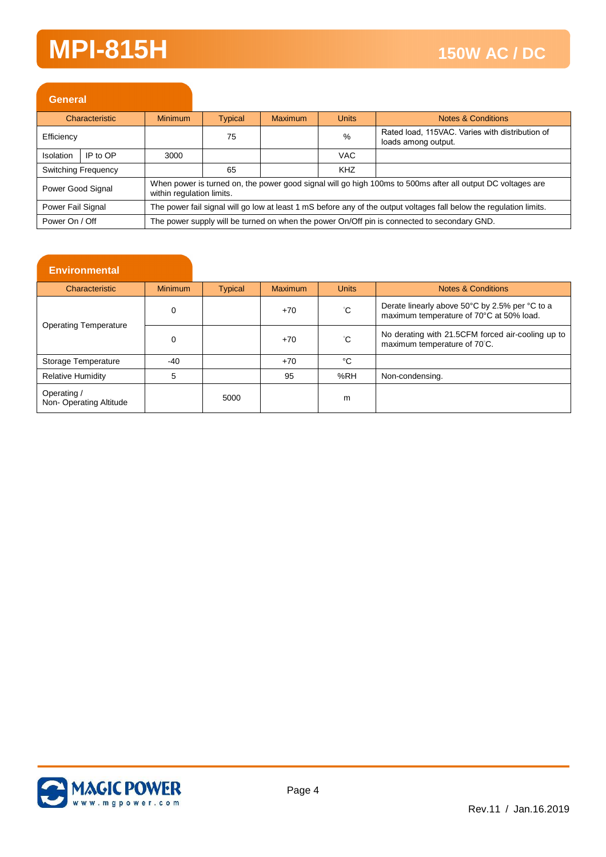| <b>General</b>    |                            |                                                                                                                                          |                                                                                                                     |         |               |                                                                                             |  |
|-------------------|----------------------------|------------------------------------------------------------------------------------------------------------------------------------------|---------------------------------------------------------------------------------------------------------------------|---------|---------------|---------------------------------------------------------------------------------------------|--|
|                   | Characteristic             | <b>Minimum</b>                                                                                                                           | <b>Typical</b>                                                                                                      | Maximum | <b>Units</b>  | Notes & Conditions                                                                          |  |
| Efficiency        |                            |                                                                                                                                          | 75                                                                                                                  |         | $\frac{0}{0}$ | Rated load, 115VAC. Varies with distribution of<br>loads among output.                      |  |
| Isolation         | IP to OP                   | 3000                                                                                                                                     |                                                                                                                     |         | VAC.          |                                                                                             |  |
|                   | <b>Switching Frequency</b> |                                                                                                                                          | 65                                                                                                                  |         | <b>KHZ</b>    |                                                                                             |  |
| Power Good Signal |                            | When power is turned on, the power good signal will go high 100ms to 500ms after all output DC voltages are<br>within regulation limits. |                                                                                                                     |         |               |                                                                                             |  |
| Power Fail Signal |                            |                                                                                                                                          | The power fail signal will go low at least 1 mS before any of the output voltages fall below the regulation limits. |         |               |                                                                                             |  |
| Power On / Off    |                            |                                                                                                                                          |                                                                                                                     |         |               | The power supply will be turned on when the power On/Off pin is connected to secondary GND. |  |

#### **Environmental**

| Characteristic                        | <b>Minimum</b> | <b>Typical</b> | <b>Maximum</b> | <b>Units</b> | <b>Notes &amp; Conditions</b>                                                              |
|---------------------------------------|----------------|----------------|----------------|--------------|--------------------------------------------------------------------------------------------|
|                                       | 0              |                | $+70$          | ۴С           | Derate linearly above 50°C by 2.5% per °C to a<br>maximum temperature of 70°C at 50% load. |
| <b>Operating Temperature</b>          | 0              |                | $+70$          | °С           | No derating with 21.5CFM forced air-cooling up to<br>maximum temperature of 70°C.          |
| Storage Temperature                   | -40            |                | $+70$          | °C           |                                                                                            |
| <b>Relative Humidity</b>              | 5              |                | 95             | %RH          | Non-condensing.                                                                            |
| Operating /<br>Non-Operating Altitude |                | 5000           |                | m            |                                                                                            |

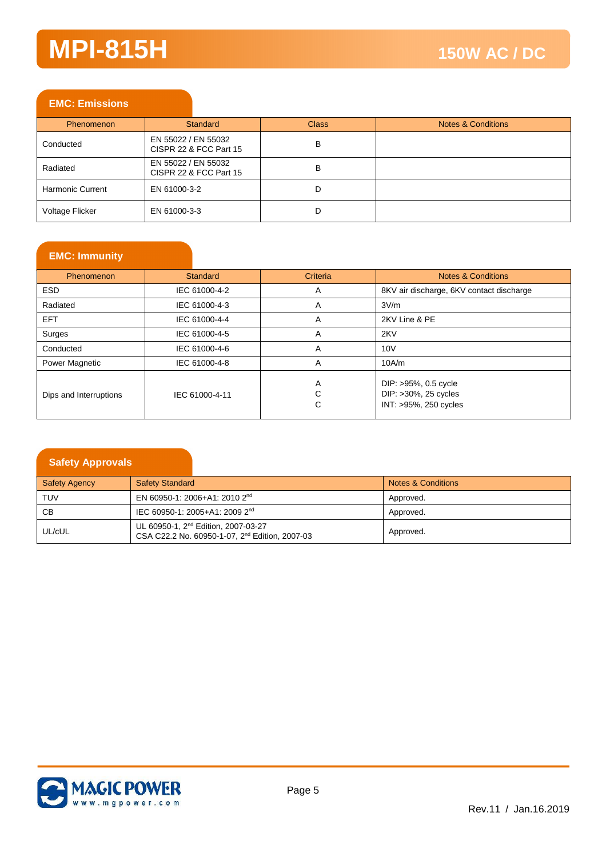#### **EMC: Emissions**

| <b>Phenomenon</b>       | Standard                                      | <b>Class</b> | <b>Notes &amp; Conditions</b> |
|-------------------------|-----------------------------------------------|--------------|-------------------------------|
| Conducted               | EN 55022 / EN 55032<br>CISPR 22 & FCC Part 15 | в            |                               |
| Radiated                | EN 55022 / EN 55032<br>CISPR 22 & FCC Part 15 | В            |                               |
| <b>Harmonic Current</b> | EN 61000-3-2                                  | D            |                               |
| Voltage Flicker         | EN 61000-3-3                                  | D            |                               |

#### **EMC: Immunity**

| Phenomenon             | Standard       | <b>Criteria</b> | Notes & Conditions                                                    |
|------------------------|----------------|-----------------|-----------------------------------------------------------------------|
| <b>ESD</b>             | IEC 61000-4-2  | A               | 8KV air discharge, 6KV contact discharge                              |
| Radiated               | IEC 61000-4-3  | A               | 3V/m                                                                  |
| <b>EFT</b>             | IEC 61000-4-4  | A               | 2KV Line & PE                                                         |
| Surges                 | IEC 61000-4-5  | A               | 2KV                                                                   |
| Conducted              | IEC 61000-4-6  | A               | 10V                                                                   |
| Power Magnetic         | IEC 61000-4-8  | A               | 10A/m                                                                 |
| Dips and Interruptions | IEC 61000-4-11 | A<br>С<br>С     | DIP: >95%, 0.5 cycle<br>DIP: >30%, 25 cycles<br>INT: >95%, 250 cycles |

| <b>Safety Approvals</b> |                                                                                                               |                               |
|-------------------------|---------------------------------------------------------------------------------------------------------------|-------------------------------|
| <b>Safety Agency</b>    | <b>Safety Standard</b>                                                                                        | <b>Notes &amp; Conditions</b> |
| <b>TUV</b>              | EN 60950-1: 2006+A1: 2010 2 <sup>nd</sup>                                                                     | Approved.                     |
| <b>CB</b>               | IEC 60950-1: 2005+A1: 2009 2 <sup>nd</sup>                                                                    | Approved.                     |
| UL/cUL                  | UL 60950-1, 2 <sup>nd</sup> Edition, 2007-03-27<br>CSA C22.2 No. 60950-1-07, 2 <sup>nd</sup> Edition, 2007-03 | Approved.                     |

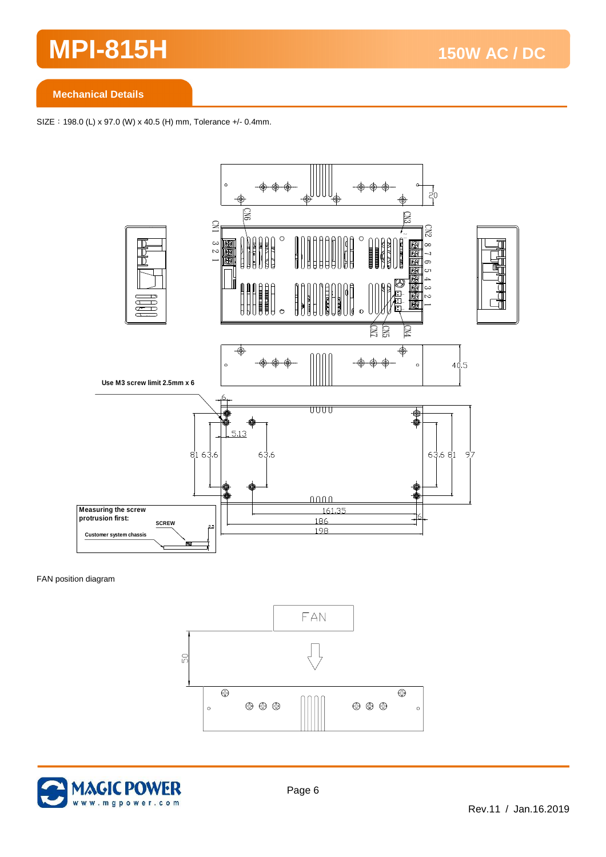**Mechanical Details**

SIZE: 198.0 (L) x 97.0 (W) x 40.5 (H) mm, Tolerance +/- 0.4mm.



FAN position diagram